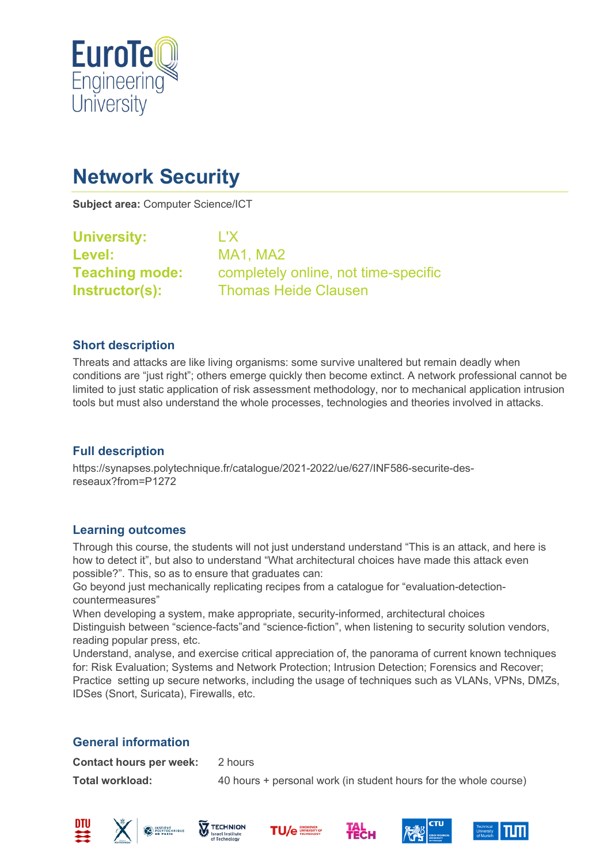

# **Network Security**

**Subject area:** Computer Science/ICT

| <b>University:</b>    | L'X       |
|-----------------------|-----------|
| Level:                | <b>MA</b> |
| <b>Teaching mode:</b> | cor       |
| Instructor(s):        | Tho       |

**Level:** MA1, MA2 completely online, not time-specific **Instructor(s):** Thomas Heide Clausen

### **Short description**

Threats and attacks are like living organisms: some survive unaltered but remain deadly when conditions are "just right"; others emerge quickly then become extinct. A network professional cannot be limited to just static application of risk assessment methodology, nor to mechanical application intrusion tools but must also understand the whole processes, technologies and theories involved in attacks.

### **Full description**

https://synapses.polytechnique.fr/catalogue/2021-2022/ue/627/INF586-securite-desreseaux?from=P1272

### **Learning outcomes**

Through this course, the students will not just understand understand "This is an attack, and here is how to detect it", but also to understand "What architectural choices have made this attack even possible?". This, so as to ensure that graduates can:

Go beyond just mechanically replicating recipes from a catalogue for "evaluation-detectioncountermeasures"

When developing a system, make appropriate, security-informed, architectural choices Distinguish between "science-facts"and "science-fiction", when listening to security solution vendors, reading popular press, etc.

Understand, analyse, and exercise critical appreciation of, the panorama of current known techniques for: Risk Evaluation; Systems and Network Protection; Intrusion Detection; Forensics and Recover; Practice setting up secure networks, including the usage of techniques such as VLANs, VPNs, DMZs, IDSes (Snort, Suricata), Firewalls, etc.

## **General information**

**Contact hours per week:** 2 hours

**Total workload:** 40 hours + personal work (in student hours for the whole course)













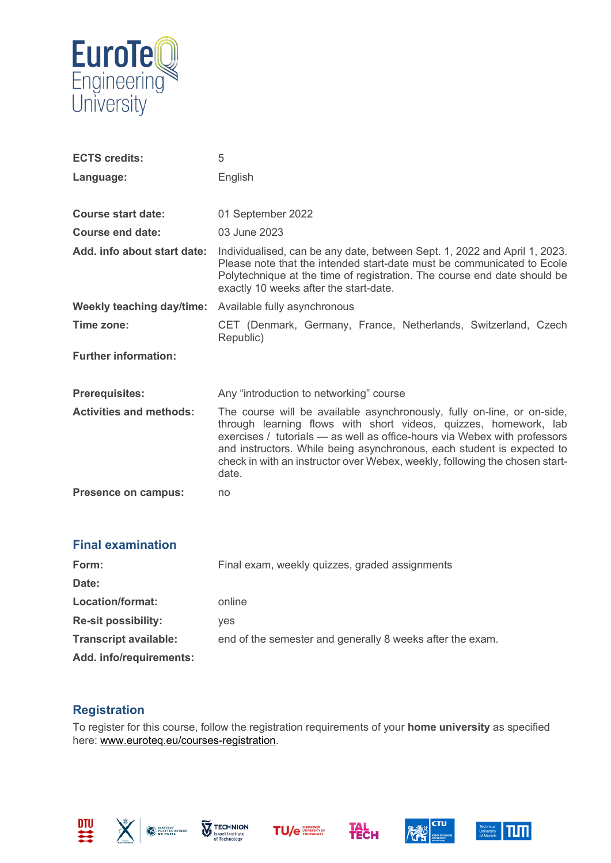

| <b>ECTS credits:</b>           | 5                                                                                                                                                                                                                                                                                                                                                                                          |
|--------------------------------|--------------------------------------------------------------------------------------------------------------------------------------------------------------------------------------------------------------------------------------------------------------------------------------------------------------------------------------------------------------------------------------------|
| Language:                      | English                                                                                                                                                                                                                                                                                                                                                                                    |
|                                |                                                                                                                                                                                                                                                                                                                                                                                            |
| <b>Course start date:</b>      | 01 September 2022                                                                                                                                                                                                                                                                                                                                                                          |
| Course end date:               | 03 June 2023                                                                                                                                                                                                                                                                                                                                                                               |
| Add. info about start date:    | Individualised, can be any date, between Sept. 1, 2022 and April 1, 2023.<br>Please note that the intended start-date must be communicated to Ecole<br>Polytechnique at the time of registration. The course end date should be<br>exactly 10 weeks after the start-date.                                                                                                                  |
| Weekly teaching day/time:      | Available fully asynchronous                                                                                                                                                                                                                                                                                                                                                               |
| Time zone:                     | CET (Denmark, Germany, France, Netherlands, Switzerland, Czech<br>Republic)                                                                                                                                                                                                                                                                                                                |
| <b>Further information:</b>    |                                                                                                                                                                                                                                                                                                                                                                                            |
| <b>Prerequisites:</b>          | Any "introduction to networking" course                                                                                                                                                                                                                                                                                                                                                    |
| <b>Activities and methods:</b> | The course will be available asynchronously, fully on-line, or on-side,<br>through learning flows with short videos, quizzes, homework, lab<br>exercises / tutorials - as well as office-hours via Webex with professors<br>and instructors. While being asynchronous, each student is expected to<br>check in with an instructor over Webex, weekly, following the chosen start-<br>date. |
| <b>Presence on campus:</b>     | no                                                                                                                                                                                                                                                                                                                                                                                         |
|                                |                                                                                                                                                                                                                                                                                                                                                                                            |

#### **Final examination**

| Form:                        | Final exam, weekly quizzes, graded assignments            |  |
|------------------------------|-----------------------------------------------------------|--|
| Date:                        |                                                           |  |
| Location/format:             | online                                                    |  |
| <b>Re-sit possibility:</b>   | ves                                                       |  |
| <b>Transcript available:</b> | end of the semester and generally 8 weeks after the exam. |  |
| Add. info/requirements:      |                                                           |  |

### **Registration**

To register for this course, follow the registration requirements of your **home university** as specified here: [www.euroteq.eu/courses-registration.](http://www.euroteq.eu/courses-registration)